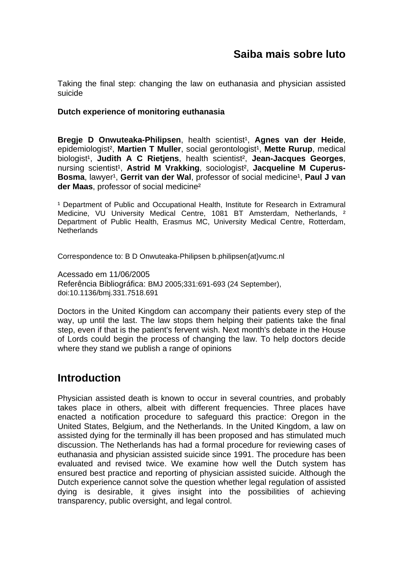Taking the final step: changing the law on euthanasia and physician assisted suicide

## **Dutch experience of monitoring euthanasia**

**Bregie D Onwuteaka-Philipsen**, health scientist<sup>1</sup>, Agnes van der Heide, epidemiologist<sup>2</sup>, Martien T Muller, social gerontologist<sup>1</sup>, Mette Rurup, medical biologist¹, **Judith A C Rietjens**, health scientist², **Jean-Jacques Georges**, nursing scientist<sup>1</sup>, Astrid M Vrakking, sociologist<sup>2</sup>, Jacqueline M Cuperus-**Bosma**, lawyer<sup>1</sup>, Gerrit van der Wal, professor of social medicine<sup>1</sup>, Paul J van **der Maas**, professor of social medicine²

<sup>1</sup> Department of Public and Occupational Health, Institute for Research in Extramural Medicine, VU University Medical Centre, 1081 BT Amsterdam, Netherlands, <sup>2</sup> Department of Public Health, Erasmus MC, University Medical Centre, Rotterdam, Netherlands

Correspondence to: B D Onwuteaka-Philipsen b.philipsen{at}vumc.nl

Acessado em 11/06/2005 Referência Bibliográfica: BMJ 2005;331:691-693 (24 September), doi:10.1136/bmj.331.7518.691

Doctors in the United Kingdom can accompany their patients every step of the way, up until the last. The law stops them helping their patients take the final step, even if that is the patient's fervent wish. Next month's debate in the House of Lords could begin the process of changing the law. To help doctors decide where they stand we publish a range of opinions

# **Introduction**

Physician assisted death is known to occur in several countries, and probably takes place in others, albeit with different frequencies. Three places have enacted a notification procedure to safeguard this practice: Oregon in the United States, Belgium, and the Netherlands. In the United Kingdom, a law on assisted dying for the terminally ill has been proposed and has stimulated much discussion. The Netherlands has had a formal procedure for reviewing cases of euthanasia and physician assisted suicide since 1991. The procedure has been evaluated and revised twice. We examine how well the Dutch system has ensured best practice and reporting of physician assisted suicide. Although the Dutch experience cannot solve the question whether legal regulation of assisted dying is desirable, it gives insight into the possibilities of achieving transparency, public oversight, and legal control.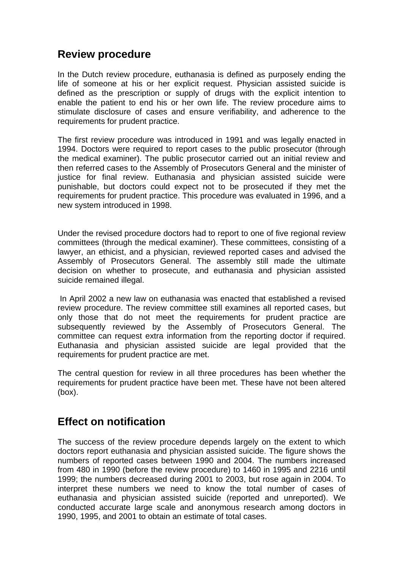# **Review procedure**

In the Dutch review procedure, euthanasia is defined as purposely ending the life of someone at his or her explicit request. Physician assisted suicide is defined as the prescription or supply of drugs with the explicit intention to enable the patient to end his or her own life. The review procedure aims to stimulate disclosure of cases and ensure verifiability, and adherence to the requirements for prudent practice.

The first review procedure was introduced in 1991 and was legally enacted in 1994. Doctors were required to report cases to the public prosecutor (through the medical examiner). The public prosecutor carried out an initial review and then referred cases to the Assembly of Prosecutors General and the minister of justice for final review. Euthanasia and physician assisted suicide were punishable, but doctors could expect not to be prosecuted if they met the requirements for prudent practice. This procedure was evaluated in 1996, and a new system introduced in 1998.

Under the revised procedure doctors had to report to one of five regional review committees (through the medical examiner). These committees, consisting of a lawyer, an ethicist, and a physician, reviewed reported cases and advised the Assembly of Prosecutors General. The assembly still made the ultimate decision on whether to prosecute, and euthanasia and physician assisted suicide remained illegal.

 In April 2002 a new law on euthanasia was enacted that established a revised review procedure. The review committee still examines all reported cases, but only those that do not meet the requirements for prudent practice are subsequently reviewed by the Assembly of Prosecutors General. The committee can request extra information from the reporting doctor if required. Euthanasia and physician assisted suicide are legal provided that the requirements for prudent practice are met.

The central question for review in all three procedures has been whether the requirements for prudent practice have been met. These have not been altered (box).

# **Effect on notification**

The success of the review procedure depends largely on the extent to which doctors report euthanasia and physician assisted suicide. The figure shows the numbers of reported cases between 1990 and 2004. The numbers increased from 480 in 1990 (before the review procedure) to 1460 in 1995 and 2216 until 1999; the numbers decreased during 2001 to 2003, but rose again in 2004. To interpret these numbers we need to know the total number of cases of euthanasia and physician assisted suicide (reported and unreported). We conducted accurate large scale and anonymous research among doctors in 1990, 1995, and 2001 to obtain an estimate of total cases.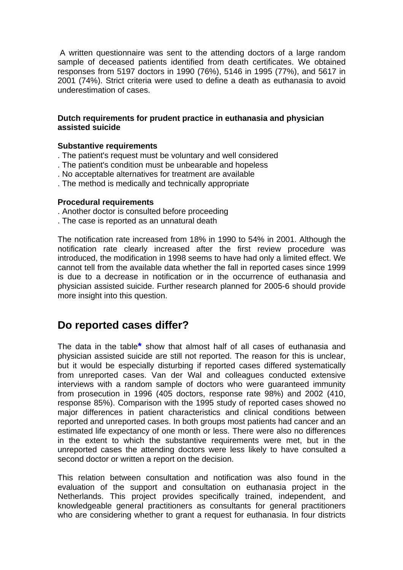A written questionnaire was sent to the attending doctors of a large random sample of deceased patients identified from death certificates. We obtained responses from 5197 doctors in 1990 (76%), 5146 in 1995 (77%), and 5617 in 2001 (74%). Strict criteria were used to define a death as euthanasia to avoid underestimation of cases.

### **Dutch requirements for prudent practice in euthanasia and physician assisted suicide**

#### **Substantive requirements**

- . The patient's request must be voluntary and well considered
- . The patient's condition must be unbearable and hopeless
- . No acceptable alternatives for treatment are available
- . The method is medically and technically appropriate

#### **Procedural requirements**

- . Another doctor is consulted before proceeding
- . The case is reported as an unnatural death

The notification rate increased from 18% in 1990 to 54% in 2001. Although the notification rate clearly increased after the first review procedure was introduced, the modification in 1998 seems to have had only a limited effect. We cannot tell from the available data whether the fall in reported cases since 1999 is due to a decrease in notification or in the occurrence of euthanasia and physician assisted suicide. Further research planned for 2005-6 should provide more insight into this question.

## **Do reported cases differ?**

The data in the table**\*** show that almost half of all cases of euthanasia and physician assisted suicide are still not reported. The reason for this is unclear, but it would be especially disturbing if reported cases differed systematically from unreported cases. Van der Wal and colleagues conducted extensive interviews with a random sample of doctors who were guaranteed immunity from prosecution in 1996 (405 doctors, response rate 98%) and 2002 (410, response 85%). Comparison with the 1995 study of reported cases showed no major differences in patient characteristics and clinical conditions between reported and unreported cases. In both groups most patients had cancer and an estimated life expectancy of one month or less. There were also no differences in the extent to which the substantive requirements were met, but in the unreported cases the attending doctors were less likely to have consulted a second doctor or written a report on the decision.

This relation between consultation and notification was also found in the evaluation of the support and consultation on euthanasia project in the Netherlands. This project provides specifically trained, independent, and knowledgeable general practitioners as consultants for general practitioners who are considering whether to grant a request for euthanasia. In four districts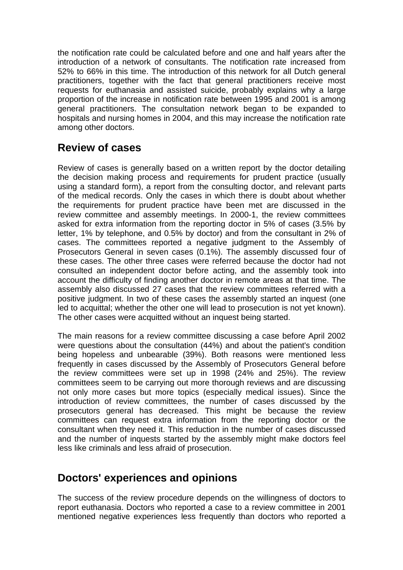the notification rate could be calculated before and one and half years after the introduction of a network of consultants. The notification rate increased from 52% to 66% in this time. The introduction of this network for all Dutch general practitioners, together with the fact that general practitioners receive most requests for euthanasia and assisted suicide, probably explains why a large proportion of the increase in notification rate between 1995 and 2001 is among general practitioners. The consultation network began to be expanded to hospitals and nursing homes in 2004, and this may increase the notification rate among other doctors.

# **Review of cases**

Review of cases is generally based on a written report by the doctor detailing the decision making process and requirements for prudent practice (usually using a standard form), a report from the consulting doctor, and relevant parts of the medical records. Only the cases in which there is doubt about whether the requirements for prudent practice have been met are discussed in the review committee and assembly meetings. In 2000-1, the review committees asked for extra information from the reporting doctor in 5% of cases (3.5% by letter, 1% by telephone, and 0.5% by doctor) and from the consultant in 2% of cases. The committees reported a negative judgment to the Assembly of Prosecutors General in seven cases (0.1%). The assembly discussed four of these cases. The other three cases were referred because the doctor had not consulted an independent doctor before acting, and the assembly took into account the difficulty of finding another doctor in remote areas at that time. The assembly also discussed 27 cases that the review committees referred with a positive judgment. In two of these cases the assembly started an inquest (one led to acquittal; whether the other one will lead to prosecution is not yet known). The other cases were acquitted without an inquest being started.

The main reasons for a review committee discussing a case before April 2002 were questions about the consultation (44%) and about the patient's condition being hopeless and unbearable (39%). Both reasons were mentioned less frequently in cases discussed by the Assembly of Prosecutors General before the review committees were set up in 1998 (24% and 25%). The review committees seem to be carrying out more thorough reviews and are discussing not only more cases but more topics (especially medical issues). Since the introduction of review committees, the number of cases discussed by the prosecutors general has decreased. This might be because the review committees can request extra information from the reporting doctor or the consultant when they need it. This reduction in the number of cases discussed and the number of inquests started by the assembly might make doctors feel less like criminals and less afraid of prosecution.

# **Doctors' experiences and opinions**

The success of the review procedure depends on the willingness of doctors to report euthanasia. Doctors who reported a case to a review committee in 2001 mentioned negative experiences less frequently than doctors who reported a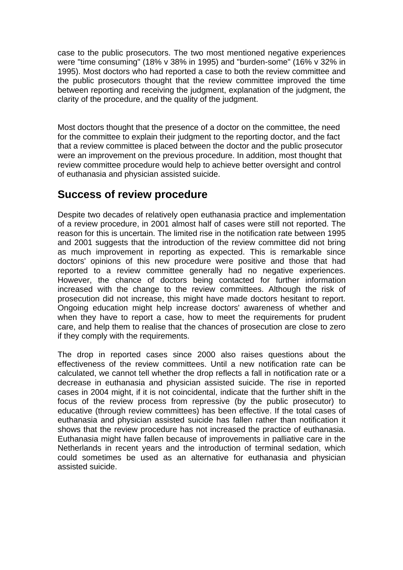case to the public prosecutors. The two most mentioned negative experiences were "time consuming" (18% v 38% in 1995) and "burden-some" (16% v 32% in 1995). Most doctors who had reported a case to both the review committee and the public prosecutors thought that the review committee improved the time between reporting and receiving the judgment, explanation of the judgment, the clarity of the procedure, and the quality of the judgment.

Most doctors thought that the presence of a doctor on the committee, the need for the committee to explain their judgment to the reporting doctor, and the fact that a review committee is placed between the doctor and the public prosecutor were an improvement on the previous procedure. In addition, most thought that review committee procedure would help to achieve better oversight and control of euthanasia and physician assisted suicide.

## **Success of review procedure**

Despite two decades of relatively open euthanasia practice and implementation of a review procedure, in 2001 almost half of cases were still not reported. The reason for this is uncertain. The limited rise in the notification rate between 1995 and 2001 suggests that the introduction of the review committee did not bring as much improvement in reporting as expected. This is remarkable since doctors' opinions of this new procedure were positive and those that had reported to a review committee generally had no negative experiences. However, the chance of doctors being contacted for further information increased with the change to the review committees. Although the risk of prosecution did not increase, this might have made doctors hesitant to report. Ongoing education might help increase doctors' awareness of whether and when they have to report a case, how to meet the requirements for prudent care, and help them to realise that the chances of prosecution are close to zero if they comply with the requirements.

The drop in reported cases since 2000 also raises questions about the effectiveness of the review committees. Until a new notification rate can be calculated, we cannot tell whether the drop reflects a fall in notification rate or a decrease in euthanasia and physician assisted suicide. The rise in reported cases in 2004 might, if it is not coincidental, indicate that the further shift in the focus of the review process from repressive (by the public prosecutor) to educative (through review committees) has been effective. If the total cases of euthanasia and physician assisted suicide has fallen rather than notification it shows that the review procedure has not increased the practice of euthanasia. Euthanasia might have fallen because of improvements in palliative care in the Netherlands in recent years and the introduction of terminal sedation, which could sometimes be used as an alternative for euthanasia and physician assisted suicide.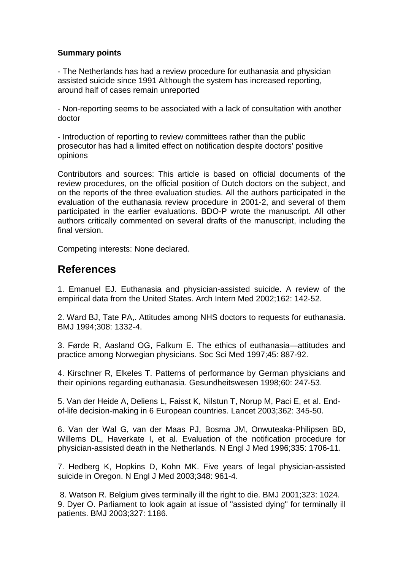## **Summary points**

- The Netherlands has had a review procedure for euthanasia and physician assisted suicide since 1991 Although the system has increased reporting, around half of cases remain unreported

- Non-reporting seems to be associated with a lack of consultation with another doctor

- Introduction of reporting to review committees rather than the public prosecutor has had a limited effect on notification despite doctors' positive opinions

Contributors and sources: This article is based on official documents of the review procedures, on the official position of Dutch doctors on the subject, and on the reports of the three evaluation studies. All the authors participated in the evaluation of the euthanasia review procedure in 2001-2, and several of them participated in the earlier evaluations. BDO-P wrote the manuscript. All other authors critically commented on several drafts of the manuscript, including the final version.

Competing interests: None declared.

# **References**

1. Emanuel EJ. Euthanasia and physician-assisted suicide. A review of the empirical data from the United States. Arch Intern Med 2002;162: 142-52.

2. Ward BJ, Tate PA,. Attitudes among NHS doctors to requests for euthanasia. BMJ 1994;308: 1332-4.

3. Førde R, Aasland OG, Falkum E. The ethics of euthanasia—attitudes and practice among Norwegian physicians. Soc Sci Med 1997;45: 887-92.

4. Kirschner R, Elkeles T. Patterns of performance by German physicians and their opinions regarding euthanasia. Gesundheitswesen 1998;60: 247-53.

5. Van der Heide A, Deliens L, Faisst K, Nilstun T, Norup M, Paci E, et al. Endof-life decision-making in 6 European countries. Lancet 2003;362: 345-50.

6. Van der Wal G, van der Maas PJ, Bosma JM, Onwuteaka-Philipsen BD, Willems DL, Haverkate I, et al. Evaluation of the notification procedure for physician-assisted death in the Netherlands. N Engl J Med 1996;335: 1706-11.

7. Hedberg K, Hopkins D, Kohn MK. Five years of legal physician-assisted suicide in Oregon. N Engl J Med 2003;348: 961-4.

 8. Watson R. Belgium gives terminally ill the right to die. BMJ 2001;323: 1024. 9. Dyer O. Parliament to look again at issue of "assisted dying" for terminally ill patients. BMJ 2003;327: 1186.